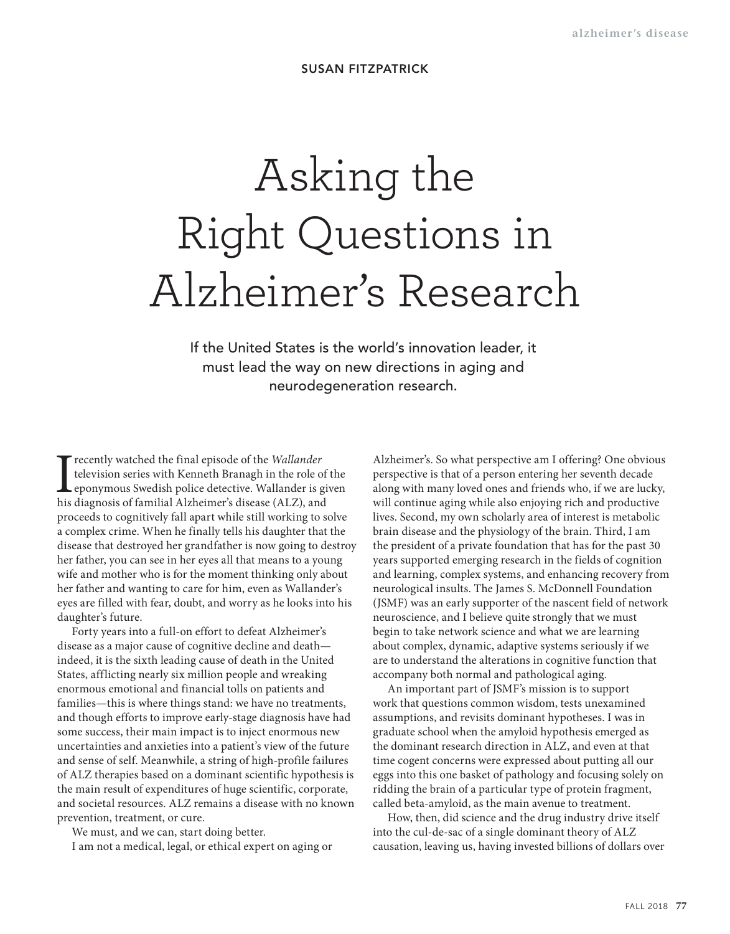## **SUSAN FITZPATRICK**

## Asking the Right Questions in Alzheimer's Research

If the United States is the world's innovation leader, it must lead the way on new directions in aging and neurodegeneration research.

I recently watched the final episode of the *Wallander* television series with Kenneth Branagh in the role of the **L** eponymous Swedish police detective. Wallander is given his diagnosis of familial Alzheimer's disease (ALZ), and proceeds to cognitively fall apart while still working to solve a complex crime. When he finally tells his daughter that the disease that destroyed her grandfather is now going to destroy her father, you can see in her eyes all that means to a young wife and mother who is for the moment thinking only about her father and wanting to care for him, even as Wallander's eyes are filled with fear, doubt, and worry as he looks into his daughter's future.

Forty years into a full-on effort to defeat Alzheimer's disease as a major cause of cognitive decline and death indeed, it is the sixth leading cause of death in the United States, afflicting nearly six million people and wreaking enormous emotional and financial tolls on patients and families—this is where things stand: we have no treatments, and though efforts to improve early-stage diagnosis have had some success, their main impact is to inject enormous new uncertainties and anxieties into a patient's view of the future and sense of self. Meanwhile, a string of high-profile failures of ALZ therapies based on a dominant scientific hypothesis is the main result of expenditures of huge scientific, corporate, and societal resources. ALZ remains a disease with no known prevention, treatment, or cure.

We must, and we can, start doing better. I am not a medical, legal, or ethical expert on aging or Alzheimer's. So what perspective am I offering? One obvious perspective is that of a person entering her seventh decade along with many loved ones and friends who, if we are lucky, will continue aging while also enjoying rich and productive lives. Second, my own scholarly area of interest is metabolic brain disease and the physiology of the brain. Third, I am the president of a private foundation that has for the past 30 years supported emerging research in the fields of cognition and learning, complex systems, and enhancing recovery from neurological insults. The James S. McDonnell Foundation (JSMF) was an early supporter of the nascent field of network neuroscience, and I believe quite strongly that we must begin to take network science and what we are learning about complex, dynamic, adaptive systems seriously if we are to understand the alterations in cognitive function that accompany both normal and pathological aging.

An important part of JSMF's mission is to support work that questions common wisdom, tests unexamined assumptions, and revisits dominant hypotheses. I was in graduate school when the amyloid hypothesis emerged as the dominant research direction in ALZ, and even at that time cogent concerns were expressed about putting all our eggs into this one basket of pathology and focusing solely on ridding the brain of a particular type of protein fragment, called beta-amyloid, as the main avenue to treatment.

How, then, did science and the drug industry drive itself into the cul-de-sac of a single dominant theory of ALZ causation, leaving us, having invested billions of dollars over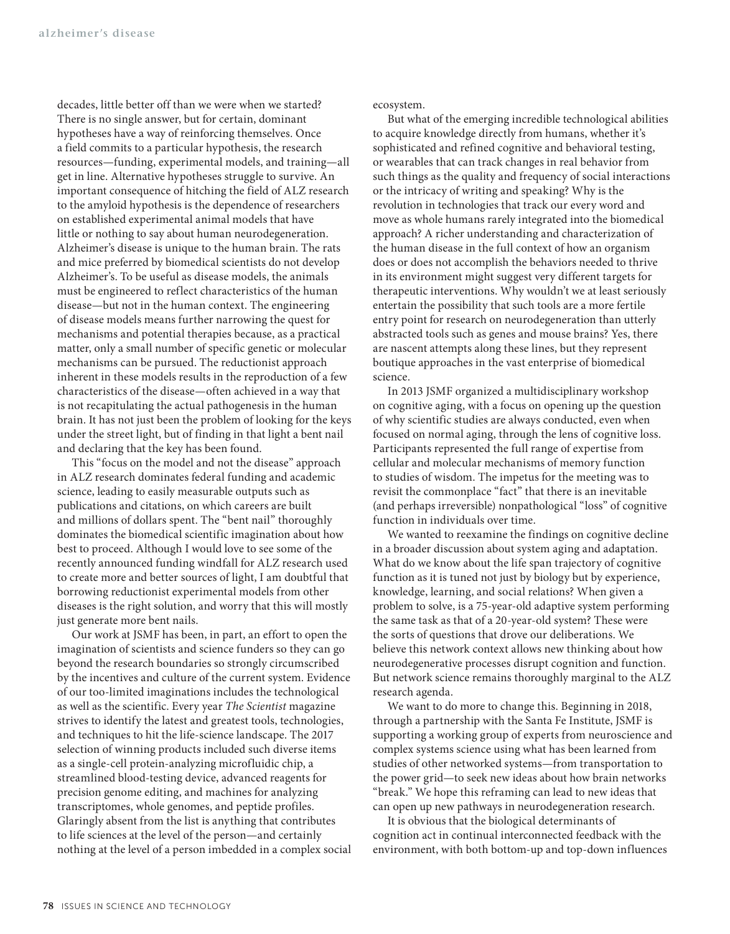decades, little better off than we were when we started? There is no single answer, but for certain, dominant hypotheses have a way of reinforcing themselves. Once a field commits to a particular hypothesis, the research resources—funding, experimental models, and training—all get in line. Alternative hypotheses struggle to survive. An important consequence of hitching the field of ALZ research to the amyloid hypothesis is the dependence of researchers on established experimental animal models that have little or nothing to say about human neurodegeneration. Alzheimer's disease is unique to the human brain. The rats and mice preferred by biomedical scientists do not develop Alzheimer's. To be useful as disease models, the animals must be engineered to reflect characteristics of the human disease—but not in the human context. The engineering of disease models means further narrowing the quest for mechanisms and potential therapies because, as a practical matter, only a small number of specific genetic or molecular mechanisms can be pursued. The reductionist approach inherent in these models results in the reproduction of a few characteristics of the disease—often achieved in a way that is not recapitulating the actual pathogenesis in the human brain. It has not just been the problem of looking for the keys under the street light, but of finding in that light a bent nail and declaring that the key has been found.

This "focus on the model and not the disease" approach in ALZ research dominates federal funding and academic science, leading to easily measurable outputs such as publications and citations, on which careers are built and millions of dollars spent. The "bent nail" thoroughly dominates the biomedical scientific imagination about how best to proceed. Although I would love to see some of the recently announced funding windfall for ALZ research used to create more and better sources of light, I am doubtful that borrowing reductionist experimental models from other diseases is the right solution, and worry that this will mostly just generate more bent nails.

Our work at JSMF has been, in part, an effort to open the imagination of scientists and science funders so they can go beyond the research boundaries so strongly circumscribed by the incentives and culture of the current system. Evidence of our too-limited imaginations includes the technological as well as the scientific. Every year *The Scientist* magazine strives to identify the latest and greatest tools, technologies, and techniques to hit the life-science landscape. The 2017 selection of winning products included such diverse items as a single-cell protein-analyzing microfluidic chip, a streamlined blood-testing device, advanced reagents for precision genome editing, and machines for analyzing transcriptomes, whole genomes, and peptide profiles. Glaringly absent from the list is anything that contributes to life sciences at the level of the person—and certainly nothing at the level of a person imbedded in a complex social ecosystem.

But what of the emerging incredible technological abilities to acquire knowledge directly from humans, whether it's sophisticated and refined cognitive and behavioral testing, or wearables that can track changes in real behavior from such things as the quality and frequency of social interactions or the intricacy of writing and speaking? Why is the revolution in technologies that track our every word and move as whole humans rarely integrated into the biomedical approach? A richer understanding and characterization of the human disease in the full context of how an organism does or does not accomplish the behaviors needed to thrive in its environment might suggest very different targets for therapeutic interventions. Why wouldn't we at least seriously entertain the possibility that such tools are a more fertile entry point for research on neurodegeneration than utterly abstracted tools such as genes and mouse brains? Yes, there are nascent attempts along these lines, but they represent boutique approaches in the vast enterprise of biomedical science.

In 2013 JSMF organized a multidisciplinary workshop on cognitive aging, with a focus on opening up the question of why scientific studies are always conducted, even when focused on normal aging, through the lens of cognitive loss. Participants represented the full range of expertise from cellular and molecular mechanisms of memory function to studies of wisdom. The impetus for the meeting was to revisit the commonplace "fact" that there is an inevitable (and perhaps irreversible) nonpathological "loss" of cognitive function in individuals over time.

We wanted to reexamine the findings on cognitive decline in a broader discussion about system aging and adaptation. What do we know about the life span trajectory of cognitive function as it is tuned not just by biology but by experience, knowledge, learning, and social relations? When given a problem to solve, is a 75-year-old adaptive system performing the same task as that of a 20-year-old system? These were the sorts of questions that drove our deliberations. We believe this network context allows new thinking about how neurodegenerative processes disrupt cognition and function. But network science remains thoroughly marginal to the ALZ research agenda.

We want to do more to change this. Beginning in 2018, through a partnership with the Santa Fe Institute, JSMF is supporting a working group of experts from neuroscience and complex systems science using what has been learned from studies of other networked systems—from transportation to the power grid—to seek new ideas about how brain networks "break." We hope this reframing can lead to new ideas that can open up new pathways in neurodegeneration research.

It is obvious that the biological determinants of cognition act in continual interconnected feedback with the environment, with both bottom-up and top-down influences